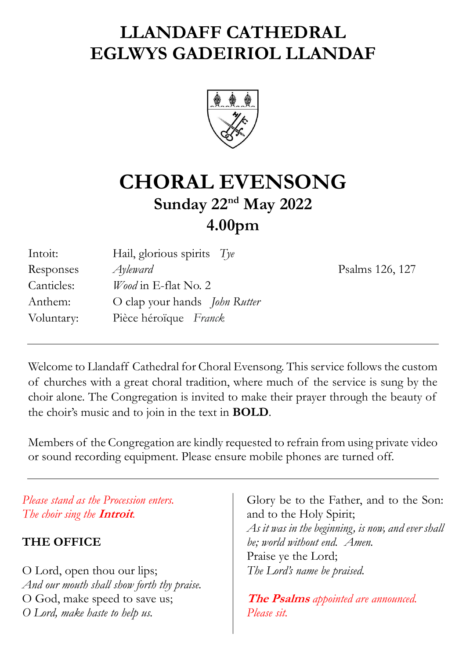# **LLANDAFF CATHEDRAL EGLWYS GADEIRIOL LLANDAF**



# **CHORAL EVENSONG Sunday 22nd May 2022 4.00pm**

| Intoit:    | Hail, glorious spirits $Tye$         |
|------------|--------------------------------------|
| Responses  | $A$ yleward                          |
| Canticles: | Wood in E-flat No. 2                 |
| Anthem:    | O clap your hands <i>John Rutter</i> |
| Voluntary: | Pièce héroïque Franck                |

Psalms 126, 127

Welcome to Llandaff Cathedral for Choral Evensong. This service follows the custom of churches with a great choral tradition, where much of the service is sung by the choir alone. The Congregation is invited to make their prayer through the beauty of the choir's music and to join in the text in **BOLD**.

Members of the Congregation are kindly requested to refrain from using private video or sound recording equipment. Please ensure mobile phones are turned off.

*Please stand as the Procession enters. The choir sing the* **Introit***.*

## **THE OFFICE**

O Lord, open thou our lips; *And our mouth shall show forth thy praise.* O God, make speed to save us; *O Lord, make haste to help us.*

Glory be to the Father, and to the Son: and to the Holy Spirit; *As it was in the beginning, is now, and ever shall be; world without end. Amen.* Praise ye the Lord; *The Lord's name be praised.*

**The Psalms** *appointed are announced. Please sit.*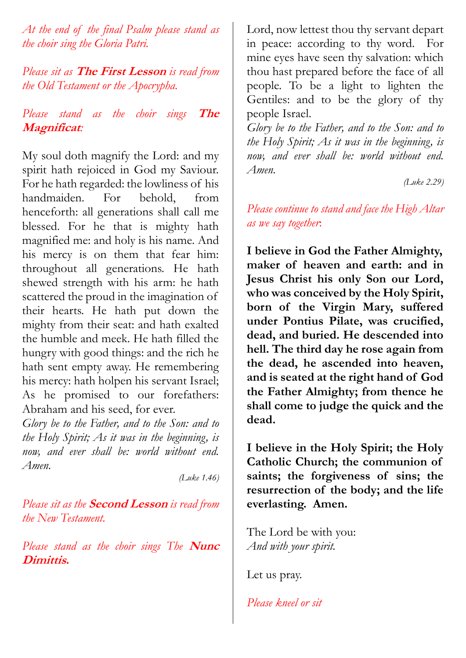*At the end of the final Psalm please stand as the choir sing the Gloria Patri.*

*Please sit as* **The First Lesson** *is read from the Old Testament or the Apocrypha.*

## *Please stand as the choir sings* **The Magnificat***:*

My soul doth magnify the Lord: and my spirit hath rejoiced in God my Saviour. For he hath regarded: the lowliness of his handmaiden. For behold, from henceforth: all generations shall call me blessed. For he that is mighty hath magnified me: and holy is his name. And his mercy is on them that fear him: throughout all generations. He hath shewed strength with his arm: he hath scattered the proud in the imagination of their hearts. He hath put down the mighty from their seat: and hath exalted the humble and meek. He hath filled the hungry with good things: and the rich he hath sent empty away. He remembering his mercy: hath holpen his servant Israel; As he promised to our forefathers: Abraham and his seed, for ever.

*Glory be to the Father, and to the Son: and to the Holy Spirit; As it was in the beginning, is now, and ever shall be: world without end. Amen.*

*(Luke 1.46)*

*Please sit as the* **Second Lesson** *is read from the New Testament.* 

*Please stand as the choir sings The* **Nunc Dimittis.**

Lord, now lettest thou thy servant depart in peace: according to thy word. For mine eyes have seen thy salvation: which thou hast prepared before the face of all people. To be a light to lighten the Gentiles: and to be the glory of thy people Israel.

*Glory be to the Father, and to the Son: and to the Holy Spirit; As it was in the beginning, is now, and ever shall be: world without end. Amen.*

*(Luke 2.29)*

*Please continue to stand and face the High Altar as we say together*:

**I believe in God the Father Almighty, maker of heaven and earth: and in Jesus Christ his only Son our Lord, who was conceived by the Holy Spirit, born of the Virgin Mary, suffered under Pontius Pilate, was crucified, dead, and buried. He descended into hell. The third day he rose again from the dead, he ascended into heaven, and is seated at the right hand of God the Father Almighty; from thence he shall come to judge the quick and the dead.** 

**I believe in the Holy Spirit; the Holy Catholic Church; the communion of saints; the forgiveness of sins; the resurrection of the body; and the life everlasting. Amen.**

The Lord be with you: *And with your spirit.*

Let us pray.

*Please kneel or sit*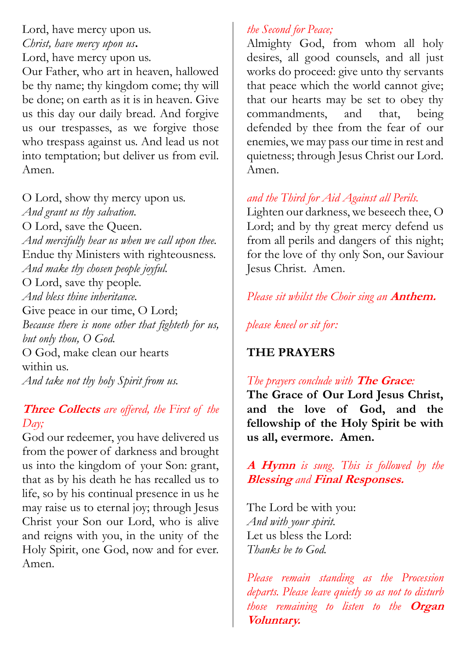Lord, have mercy upon us. *Christ, have mercy upon us***.** Lord, have mercy upon us.

Our Father, who art in heaven, hallowed be thy name; thy kingdom come; thy will be done; on earth as it is in heaven. Give us this day our daily bread. And forgive us our trespasses, as we forgive those who trespass against us. And lead us not into temptation; but deliver us from evil. Amen.

O Lord, show thy mercy upon us. *And grant us thy salvation.* O Lord, save the Queen. *And mercifully hear us when we call upon thee.*  Endue thy Ministers with righteousness. *And make thy chosen people joyful.* O Lord, save thy people. *And bless thine inheritance.* Give peace in our time, O Lord; *Because there is none other that fighteth for us, but only thou, O God.* O God, make clean our hearts within us. *And take not thy holy Spirit from us.* 

## **Three Collects** *are offered, the First of the Day;*

God our redeemer, you have delivered us from the power of darkness and brought us into the kingdom of your Son: grant, that as by his death he has recalled us to life, so by his continual presence in us he may raise us to eternal joy; through Jesus Christ your Son our Lord, who is alive and reigns with you, in the unity of the Holy Spirit, one God, now and for ever. Amen.

## *the Second for Peace;*

Almighty God, from whom all holy desires, all good counsels, and all just works do proceed: give unto thy servants that peace which the world cannot give; that our hearts may be set to obey thy commandments, and that, being defended by thee from the fear of our enemies, we may pass our time in rest and quietness; through Jesus Christ our Lord. Amen.

## *and the Third for Aid Against all Perils.*

Lighten our darkness, we beseech thee, O Lord; and by thy great mercy defend us from all perils and dangers of this night; for the love of thy only Son, our Saviour Jesus Christ. Amen.

*Please sit whilst the Choir sing an* **Anthem.** 

*please kneel or sit for:*

## **THE PRAYERS**

## *The prayers conclude with* **The Grace***:*

**The Grace of Our Lord Jesus Christ, and the love of God, and the fellowship of the Holy Spirit be with us all, evermore. Amen.**

## **A Hymn** *is sung. This is followed by the* **Blessing** *and* **Final Responses.**

The Lord be with you: *And with your spirit.* Let us bless the Lord: *Thanks be to God.*

*Please remain standing as the Procession departs. Please leave quietly so as not to disturb those remaining to listen to the* **Organ Voluntary.**